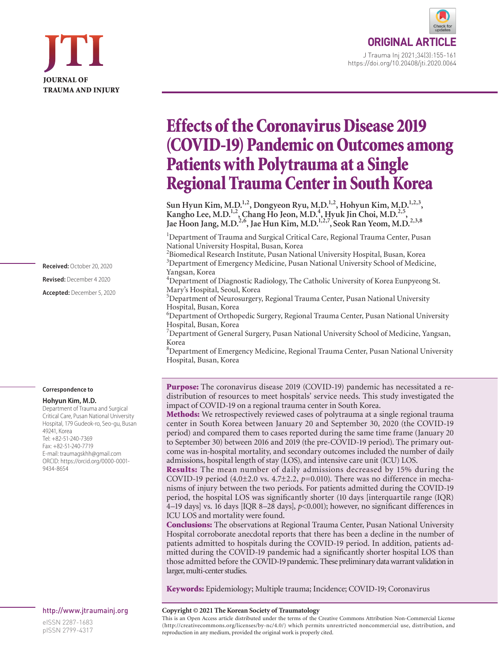

**ORIGINAL ART** J Trauma Inj 2021;34(3):155-161 https://doi.org/10.20408/jti.2020.0064

# Effects of the Coronavirus Disease 2019 (COVID-19) Pandemic on Outcomes among Patients with Polytrauma at a Single Regional Trauma Center in South Korea

Sun Hyun Kim, M.D.<sup>1,2</sup>, Dongyeon Ryu, M.D.<sup>1,2</sup>, Hohyun Kim, M.D.<sup>1,2,3</sup>, **Kangho Lee, M.D.1,2, Chang Ho Jeon, M.D.4 , Hyuk Jin Choi, M.D.2,5, Jae Hoon Jang, M.D.2,6, Jae Hun Kim, M.D.1,2,7, Seok Ran Yeom, M.D.2,3,8**

<sup>1</sup>Department of Trauma and Surgical Critical Care, Regional Trauma Center, Pusan National University Hospital, Busan, Korea

<sup>2</sup> Biomedical Research Institute, Pusan National University Hospital, Busan, Korea <sup>3</sup>Department of Emergency Medicine, Pusan National University School of Medicine, Yangsan, Korea

<sup>4</sup>Department of Diagnostic Radiology, The Catholic University of Korea Eunpyeong St. Mary's Hospital, Seoul, Korea

5 Department of Neurosurgery, Regional Trauma Center, Pusan National University Hospital, Busan, Korea

6 Department of Orthopedic Surgery, Regional Trauma Center, Pusan National University Hospital, Busan, Korea

<sup>7</sup>Department of General Surgery, Pusan National University School of Medicine, Yangsan, Korea

8 Department of Emergency Medicine, Regional Trauma Center, Pusan National University Hospital, Busan, Korea

Purpose: The coronavirus disease 2019 (COVID-19) pandemic has necessitated a redistribution of resources to meet hospitals' service needs. This study investigated the impact of COVID-19 on a regional trauma center in South Korea.

Methods: We retrospectively reviewed cases of polytrauma at a single regional trauma center in South Korea between January 20 and September 30, 2020 (the COVID-19 period) and compared them to cases reported during the same time frame (January 20 to September 30) between 2016 and 2019 (the pre-COVID-19 period). The primary outcome was in-hospital mortality, and secondary outcomes included the number of daily admissions, hospital length of stay (LOS), and intensive care unit (ICU) LOS.

Results: The mean number of daily admissions decreased by 15% during the COVID-19 period  $(4.0\pm2.0 \text{ vs. } 4.7\pm2.2, p=0.010)$ . There was no difference in mechanisms of injury between the two periods. For patients admitted during the COVID-19 period, the hospital LOS was significantly shorter (10 days [interquartile range (IQR) 4–19 days] vs. 16 days [IQR 8–28 days], *p<*0.001); however, no significant differences in ICU LOS and mortality were found.

Conclusions: The observations at Regional Trauma Center, Pusan National University Hospital corroborate anecdotal reports that there has been a decline in the number of patients admitted to hospitals during the COVID-19 period. In addition, patients admitted during the COVID-19 pandemic had a significantly shorter hospital LOS than those admitted before the COVID-19 pandemic. These preliminary data warrant validation in larger, multi-center studies.

Keywords: Epidemiology; Multiple trauma; Incidence; COVID-19; Coronavirus

#### **Copyright © 2021 The Korean Society of Traumatology**

This is an Open Access article distributed under the terms of the Creative Commons Attribution Non-Commercial License (http://creativecommons.org/licenses/by-nc/4.0/) which permits unrestricted noncommercial use, distribution, and reproduction in any medium, provided the original work is properly cited.

**Received:** October 20, 2020 **Revised:** December 4 2020 **Accepted:** December 5, 2020

#### **Correspondence to**

#### **Hohyun Kim, M.D.**

Department of Trauma and Surgical Critical Care, Pusan National University Hospital, 179 Gudeok-ro, Seo-gu, Busan 49241, Korea Tel: +82-51-240-7369 Fax: +82-51-240-7719 E-mail: traumagskhh@gmail.com ORCID: https://orcid.org/0000-0001- 9434-8654

http://www.jtraumainj.org

eISSN 2287-1683 pISSN 2799-4317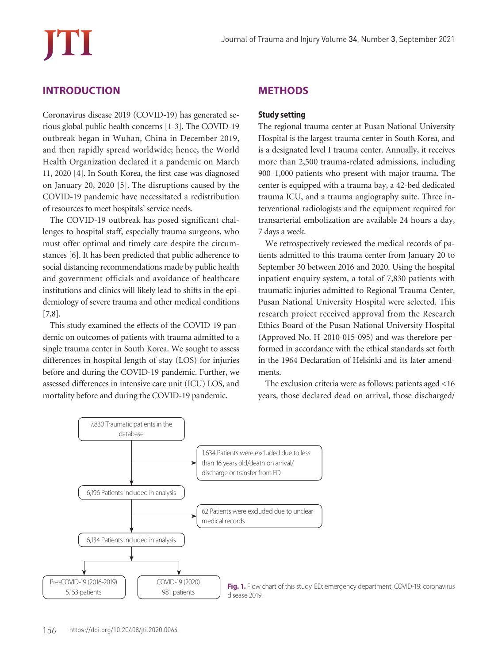# **INTRODUCTION**

Coronavirus disease 2019 (COVID-19) has generated serious global public health concerns [1-3]. The COVID-19 outbreak began in Wuhan, China in December 2019, and then rapidly spread worldwide; hence, the World Health Organization declared it a pandemic on March 11, 2020 [4]. In South Korea, the first case was diagnosed on January 20, 2020 [5]. The disruptions caused by the COVID-19 pandemic have necessitated a redistribution of resources to meet hospitals' service needs.

The COVID-19 outbreak has posed significant challenges to hospital staff, especially trauma surgeons, who must offer optimal and timely care despite the circumstances [6]. It has been predicted that public adherence to social distancing recommendations made by public health and government officials and avoidance of healthcare institutions and clinics will likely lead to shifts in the epidemiology of severe trauma and other medical conditions [7,8].

This study examined the effects of the COVID-19 pandemic on outcomes of patients with trauma admitted to a single trauma center in South Korea. We sought to assess differences in hospital length of stay (LOS) for injuries before and during the COVID-19 pandemic. Further, we assessed differences in intensive care unit (ICU) LOS, and mortality before and during the COVID-19 pandemic.

## **METHODS**

#### **Study setting**

The regional trauma center at Pusan National University Hospital is the largest trauma center in South Korea, and is a designated level I trauma center. Annually, it receives more than 2,500 trauma-related admissions, including 900–1,000 patients who present with major trauma. The center is equipped with a trauma bay, a 42-bed dedicated trauma ICU, and a trauma angiography suite. Three interventional radiologists and the equipment required for transarterial embolization are available 24 hours a day, 7 days a week.

We retrospectively reviewed the medical records of patients admitted to this trauma center from January 20 to September 30 between 2016 and 2020. Using the hospital inpatient enquiry system, a total of 7,830 patients with traumatic injuries admitted to Regional Trauma Center, Pusan National University Hospital were selected. This research project received approval from the Research Ethics Board of the Pusan National University Hospital (Approved No. H-2010-015-095) and was therefore performed in accordance with the ethical standards set forth in the 1964 Declaration of Helsinki and its later amendments.

The exclusion criteria were as follows: patients aged <16 years, those declared dead on arrival, those discharged/

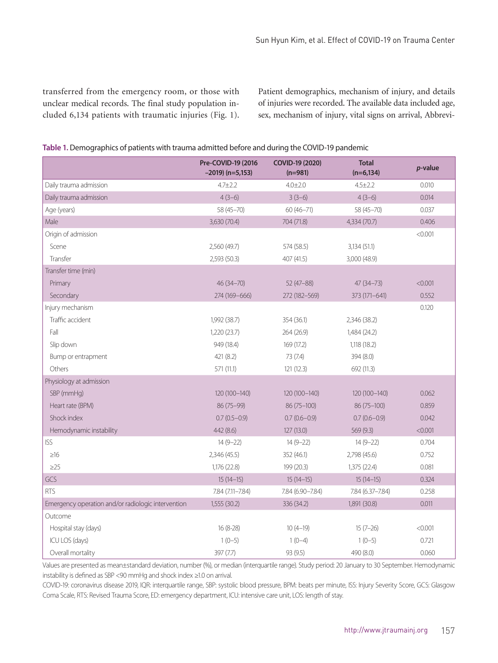transferred from the emergency room, or those with unclear medical records. The final study population included 6,134 patients with traumatic injuries (Fig. 1). Patient demographics, mechanism of injury, and details of injuries were recorded. The available data included age, sex, mechanism of injury, vital signs on arrival, Abbrevi-

| Table 1. Demographics of patients with trauma admitted before and during the COVID-19 pandemic |  |  |  |
|------------------------------------------------------------------------------------------------|--|--|--|
|                                                                                                |  |  |  |
|                                                                                                |  |  |  |
|                                                                                                |  |  |  |

|                                                    | Pre-COVID-19 (2016<br>$-2019$ ) (n=5,153) | COVID-19 (2020)<br>$(n=981)$ | <b>Total</b><br>$(n=6, 134)$ | $p$ -value |
|----------------------------------------------------|-------------------------------------------|------------------------------|------------------------------|------------|
| Daily trauma admission                             | 4.7 ± 2.2                                 | $4.0 \pm 2.0$                | $4.5 \pm 2.2$                | 0.010      |
| Daily trauma admission                             | $4(3-6)$                                  | $3(3-6)$                     | $4(3-6)$                     | 0.014      |
| Age (years)                                        | 58 (45-70)                                | $60(46 - 71)$                | 58 (45-70)                   | 0.037      |
| Male                                               | 3,630 (70.4)                              | 704 (71.8)                   | 4,334 (70.7)                 | 0.406      |
| Origin of admission                                |                                           |                              |                              | < 0.001    |
| Scene                                              | 2,560 (49.7)                              | 574 (58.5)                   | 3,134 (51.1)                 |            |
| Transfer                                           | 2,593 (50.3)                              | 407 (41.5)                   | 3,000 (48.9)                 |            |
| Transfer time (min)                                |                                           |                              |                              |            |
| Primary                                            | 46 (34-70)                                | 52 (47-88)                   | $47(34 - 73)$                | < 0.001    |
| Secondary                                          | 274 (169-666)                             | 272 (182-569)                | 373 (171-641)                | 0.552      |
| Injury mechanism                                   |                                           |                              |                              | 0.120      |
| Traffic accident                                   | 1,992 (38.7)                              | 354 (36.1)                   | 2,346 (38.2)                 |            |
| Fall                                               | 1,220 (23.7)                              | 264 (26.9)                   | 1,484 (24.2)                 |            |
| Slip down                                          | 949 (18.4)                                | 169 (17.2)                   | 1,118 (18.2)                 |            |
| Bump or entrapment                                 | 421 (8.2)                                 | 73 (7.4)                     | 394(8.0)                     |            |
| Others                                             | 571 (11.1)                                | 121(12.3)                    | 692 (11.3)                   |            |
| Physiology at admission                            |                                           |                              |                              |            |
| SBP (mmHg)                                         | 120 (100-140)                             | 120 (100-140)                | 120 (100-140)                | 0.062      |
| Heart rate (BPM)                                   | 86 (75-99)                                | 86 (75-100)                  | 86 (75-100)                  | 0.859      |
| Shock index                                        | $0.7(0.5-0.9)$                            | $0.7(0.6-0.9)$               | $0.7(0.6-0.9)$               | 0.042      |
| Hemodynamic instability                            | 442 (8.6)                                 | 127 (13.0)                   | 569 (9.3)                    | < 0.001    |
| <b>ISS</b>                                         | $14(9-22)$                                | 14 (9-22)                    | 14 (9-22)                    | 0.704      |
| $\geq 16$                                          | 2,346 (45.5)                              | 352 (46.1)                   | 2,798 (45.6)                 | 0.752      |
| $\geq$ 25                                          | 1,176 (22.8)                              | 199 (20.3)                   | 1,375 (22.4)                 | 0.081      |
| GCS                                                | $15(14-15)$                               | $15(14-15)$                  | $15(14-15)$                  | 0.324      |
| <b>RTS</b>                                         | 7.84 (7.11-7.84)                          | 7.84 (6.90-7.84)             | 7.84 (6.37-7.84)             | 0.258      |
| Emergency operation and/or radiologic intervention | 1,555 (30.2)                              | 336 (34.2)                   | 1,891 (30.8)                 | 0.011      |
| Outcome                                            |                                           |                              |                              |            |
| Hospital stay (days)                               | 16 (8-28)                                 | $10(4-19)$                   | $15(7-26)$                   | < 0.001    |
| ICU LOS (days)                                     | $1(0-5)$                                  | $1(0-4)$                     | $1(0-5)$                     | 0.721      |
| Overall mortality                                  | 397 (7.7)                                 | 93 (9.5)                     | 490 (8.0)                    | 0.060      |

Values are presented as mean±standard deviation, number (%), or median (interquartile range). Study period: 20 January to 30 September. Hemodynamic instability is defined as SBP <90 mmHg and shock index ≥1.0 on arrival.

COVID-19: coronavirus disease 2019, IQR: interquartile range, SBP: systolic blood pressure, BPM: beats per minute, ISS: Injury Severity Score, GCS: Glasgow Coma Scale, RTS: Revised Trauma Score, ED: emergency department, ICU: intensive care unit, LOS: length of stay.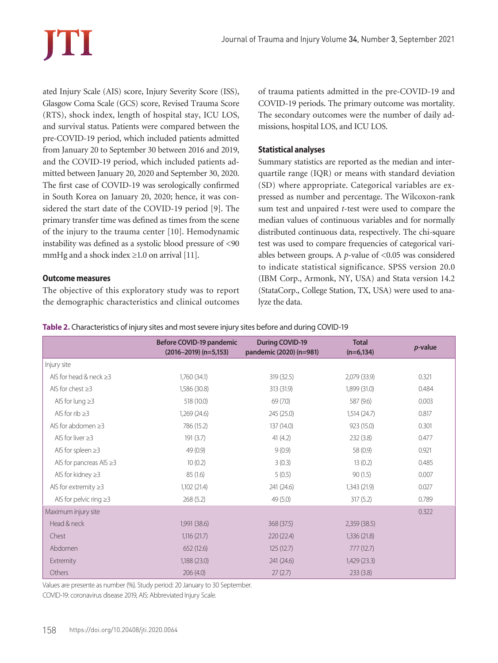ated Injury Scale (AIS) score, Injury Severity Score (ISS), Glasgow Coma Scale (GCS) score, Revised Trauma Score (RTS), shock index, length of hospital stay, ICU LOS, and survival status. Patients were compared between the pre-COVID-19 period, which included patients admitted from January 20 to September 30 between 2016 and 2019, and the COVID-19 period, which included patients admitted between January 20, 2020 and September 30, 2020. The first case of COVID-19 was serologically confirmed in South Korea on January 20, 2020; hence, it was considered the start date of the COVID-19 period [9]. The primary transfer time was defined as times from the scene of the injury to the trauma center [10]. Hemodynamic instability was defined as a systolic blood pressure of <90 mmHg and a shock index  $\geq 1.0$  on arrival [11].

#### **Outcome measures**

The objective of this exploratory study was to report the demographic characteristics and clinical outcomes of trauma patients admitted in the pre-COVID-19 and COVID-19 periods. The primary outcome was mortality. The secondary outcomes were the number of daily admissions, hospital LOS, and ICU LOS.

## **Statistical analyses**

Summary statistics are reported as the median and interquartile range (IQR) or means with standard deviation (SD) where appropriate. Categorical variables are expressed as number and percentage. The Wilcoxon-rank sum test and unpaired *t*-test were used to compare the median values of continuous variables and for normally distributed continuous data, respectively. The chi-square test was used to compare frequencies of categorical variables between groups. A *p*-value of <0.05 was considered to indicate statistical significance. SPSS version 20.0 (IBM Corp., Armonk, NY, USA) and Stata version 14.2 (StataCorp., College Station, TX, USA) were used to analyze the data.

**Table 2.** Characteristics of injury sites and most severe injury sites before and during COVID-19

|                               | Before COVID-19 pandemic<br>$(2016 - 2019)$ (n=5,153) | <b>During COVID-19</b><br>pandemic (2020) (n=981) | <b>Total</b><br>$(n=6, 134)$ | p-value |
|-------------------------------|-------------------------------------------------------|---------------------------------------------------|------------------------------|---------|
| Injury site                   |                                                       |                                                   |                              |         |
| AIS for head & neck $\geq$ 3  | 1,760(34.1)                                           | 319(32.5)                                         | 2,079 (33.9)                 | 0.321   |
| AIS for chest $\geq$ 3        | 1,586 (30.8)                                          | 313 (31.9)                                        | 1,899 (31.0)                 | 0.484   |
| AIS for lung $\geq$ 3         | 518 (10.0)                                            | 69(7.0)                                           | 587 (9.6)                    | 0.003   |
| AIS for rib $\geq$ 3          | 1,269(24.6)                                           | 245 (25.0)                                        | 1,514(24.7)                  | 0.817   |
| AIS for abdomen $\geq$ 3      | 786 (15.2)                                            | 137 (14.0)                                        | 923 (15.0)                   | 0.301   |
| AIS for liver $\geq$ 3        | 191(3.7)                                              | 41(4.2)                                           | 232(3.8)                     | 0.477   |
| AIS for spleen $\geq$ 3       | 49(0.9)                                               | 9(0.9)                                            | 58 (0.9)                     | 0.921   |
| AIS for pancreas AIS $\geq$ 3 | 10(0.2)                                               | 3(0.3)                                            | 13(0.2)                      | 0.485   |
| AIS for kidney $\geq$ 3       | 85(1.6)                                               | 5(0.5)                                            | 90(1.5)                      | 0.007   |
| AIS for extremity $\geq$ 3    | 1,102 (21.4)                                          | 241 (24.6)                                        | 1,343 (21.9)                 | 0.027   |
| AIS for pelvic ring $\geq$ 3  | 268(5.2)                                              | 49 (5.0)                                          | 317(5.2)                     | 0.789   |
| Maximum injury site           |                                                       |                                                   |                              | 0.322   |
| Head & neck                   | 1,991 (38.6)                                          | 368 (37.5)                                        | 2,359(38.5)                  |         |
| Chest                         | 1,116(21.7)                                           | 220(22.4)                                         | 1,336(21.8)                  |         |
| Abdomen                       | 652(12.6)                                             | 125(12.7)                                         | 777(12.7)                    |         |
| Extremity                     | 1,188(23.0)                                           | 241 (24.6)                                        | 1,429 (23.3)                 |         |
| Others                        | 206(4.0)                                              | 27(2.7)                                           | 233(3.8)                     |         |

Values are presente as number (%). Study period: 20 January to 30 September.

COVID-19: coronavirus disease 2019, AIS: Abbreviated Injury Scale.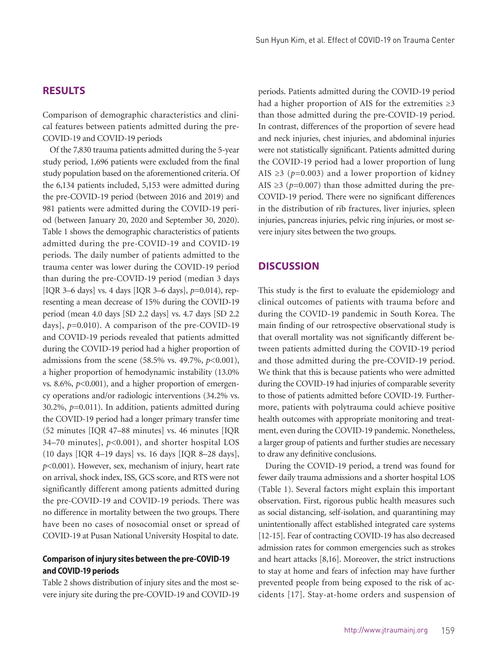#### **RESULTS**

Comparison of demographic characteristics and clinical features between patients admitted during the pre-COVID-19 and COVID-19 periods

Of the 7,830 trauma patients admitted during the 5-year study period, 1,696 patients were excluded from the final study population based on the aforementioned criteria. Of the 6,134 patients included, 5,153 were admitted during the pre-COVID-19 period (between 2016 and 2019) and 981 patients were admitted during the COVID-19 period (between January 20, 2020 and September 30, 2020). Table 1 shows the demographic characteristics of patients admitted during the pre-COVID-19 and COVID-19 periods. The daily number of patients admitted to the trauma center was lower during the COVID-19 period than during the pre-COVID-19 period (median 3 days [IQR 3–6 days] vs. 4 days [IQR 3–6 days], *p=*0.014), representing a mean decrease of 15% during the COVID-19 period (mean 4.0 days [SD 2.2 days] vs. 4.7 days [SD 2.2 days], *p=*0.010). A comparison of the pre-COVID-19 and COVID-19 periods revealed that patients admitted during the COVID-19 period had a higher proportion of admissions from the scene (58.5% vs. 49.7%, *p*<0.001), a higher proportion of hemodynamic instability (13.0% vs. 8.6%,  $p<0.001$ ), and a higher proportion of emergency operations and/or radiologic interventions (34.2% vs. 30.2%, *p=*0.011). In addition, patients admitted during the COVID-19 period had a longer primary transfer time (52 minutes [IQR 47–88 minutes] vs. 46 minutes [IQR 34–70 minutes], *p<*0.001), and shorter hospital LOS (10 days [IQR 4–19 days] vs. 16 days [IQR 8–28 days], *p*<0.001). However, sex, mechanism of injury, heart rate on arrival, shock index, ISS, GCS score, and RTS were not significantly different among patients admitted during the pre-COVID-19 and COVID-19 periods. There was no difference in mortality between the two groups. There have been no cases of nosocomial onset or spread of COVID-19 at Pusan National University Hospital to date.

#### **Comparison of injury sites between the pre-COVID-19 and COVID-19 periods**

Table 2 shows distribution of injury sites and the most severe injury site during the pre-COVID-19 and COVID-19

periods. Patients admitted during the COVID-19 period had a higher proportion of AIS for the extremities  $\geq 3$ than those admitted during the pre-COVID-19 period. In contrast, differences of the proportion of severe head and neck injuries, chest injuries, and abdominal injuries were not statistically significant. Patients admitted during the COVID-19 period had a lower proportion of lung AIS  $\geq$ 3 ( $p$ =0.003) and a lower proportion of kidney AIS  $\geq$ 3 ( $p$ =0.007) than those admitted during the pre-COVID-19 period. There were no significant differences in the distribution of rib fractures, liver injuries, spleen injuries, pancreas injuries, pelvic ring injuries, or most severe injury sites between the two groups.

#### **DISCUSSION**

This study is the first to evaluate the epidemiology and clinical outcomes of patients with trauma before and during the COVID-19 pandemic in South Korea. The main finding of our retrospective observational study is that overall mortality was not significantly different between patients admitted during the COVID-19 period and those admitted during the pre-COVID-19 period. We think that this is because patients who were admitted during the COVID-19 had injuries of comparable severity to those of patients admitted before COVID-19. Furthermore, patients with polytrauma could achieve positive health outcomes with appropriate monitoring and treatment, even during the COVID-19 pandemic. Nonetheless, a larger group of patients and further studies are necessary to draw any definitive conclusions.

During the COVID-19 period, a trend was found for fewer daily trauma admissions and a shorter hospital LOS (Table 1). Several factors might explain this important observation. First, rigorous public health measures such as social distancing, self-isolation, and quarantining may unintentionally affect established integrated care systems [12-15]. Fear of contracting COVID-19 has also decreased admission rates for common emergencies such as strokes and heart attacks [8,16]. Moreover, the strict instructions to stay at home and fears of infection may have further prevented people from being exposed to the risk of accidents [17]. Stay-at-home orders and suspension of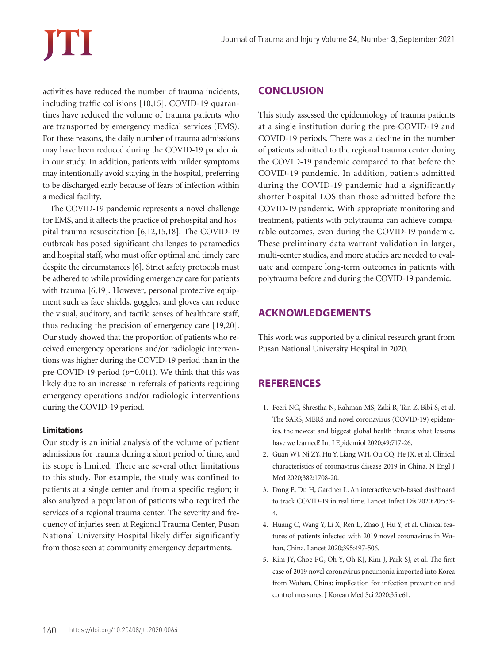activities have reduced the number of trauma incidents, including traffic collisions [10,15]. COVID-19 quarantines have reduced the volume of trauma patients who are transported by emergency medical services (EMS). For these reasons, the daily number of trauma admissions may have been reduced during the COVID-19 pandemic in our study. In addition, patients with milder symptoms may intentionally avoid staying in the hospital, preferring to be discharged early because of fears of infection within a medical facility.

The COVID-19 pandemic represents a novel challenge for EMS, and it affects the practice of prehospital and hospital trauma resuscitation [6,12,15,18]. The COVID-19 outbreak has posed significant challenges to paramedics and hospital staff, who must offer optimal and timely care despite the circumstances [6]. Strict safety protocols must be adhered to while providing emergency care for patients with trauma [6,19]. However, personal protective equipment such as face shields, goggles, and gloves can reduce the visual, auditory, and tactile senses of healthcare staff, thus reducing the precision of emergency care [19,20]. Our study showed that the proportion of patients who received emergency operations and/or radiologic interventions was higher during the COVID-19 period than in the pre-COVID-19 period ( $p=0.011$ ). We think that this was likely due to an increase in referrals of patients requiring emergency operations and/or radiologic interventions during the COVID-19 period.

#### **Limitations**

Our study is an initial analysis of the volume of patient admissions for trauma during a short period of time, and its scope is limited. There are several other limitations to this study. For example, the study was confined to patients at a single center and from a specific region; it also analyzed a population of patients who required the services of a regional trauma center. The severity and frequency of injuries seen at Regional Trauma Center, Pusan National University Hospital likely differ significantly from those seen at community emergency departments.

#### **CONCLUSION**

This study assessed the epidemiology of trauma patients at a single institution during the pre-COVID-19 and COVID-19 periods. There was a decline in the number of patients admitted to the regional trauma center during the COVID-19 pandemic compared to that before the COVID-19 pandemic. In addition, patients admitted during the COVID-19 pandemic had a significantly shorter hospital LOS than those admitted before the COVID-19 pandemic. With appropriate monitoring and treatment, patients with polytrauma can achieve comparable outcomes, even during the COVID-19 pandemic. These preliminary data warrant validation in larger, multi-center studies, and more studies are needed to evaluate and compare long-term outcomes in patients with polytrauma before and during the COVID-19 pandemic.

#### **ACKNOWLEDGEMENTS**

This work was supported by a clinical research grant from Pusan National University Hospital in 2020.

# **REFERENCES**

- 1. Peeri NC, Shrestha N, Rahman MS, Zaki R, Tan Z, Bibi S, et al. The SARS, MERS and novel coronavirus (COVID-19) epidemics, the newest and biggest global health threats: what lessons have we learned? Int J Epidemiol 2020;49:717-26.
- 2. Guan WJ, Ni ZY, Hu Y, Liang WH, Ou CQ, He JX, et al. Clinical characteristics of coronavirus disease 2019 in China. N Engl J Med 2020;382:1708-20.
- 3. Dong E, Du H, Gardner L. An interactive web-based dashboard to track COVID-19 in real time. Lancet Infect Dis 2020;20:533- 4.
- 4. Huang C, Wang Y, Li X, Ren L, Zhao J, Hu Y, et al. Clinical features of patients infected with 2019 novel coronavirus in Wuhan, China. Lancet 2020;395:497-506.
- 5. Kim JY, Choe PG, Oh Y, Oh KJ, Kim J, Park SJ, et al. The first case of 2019 novel coronavirus pneumonia imported into Korea from Wuhan, China: implication for infection prevention and control measures. J Korean Med Sci 2020;35:e61.